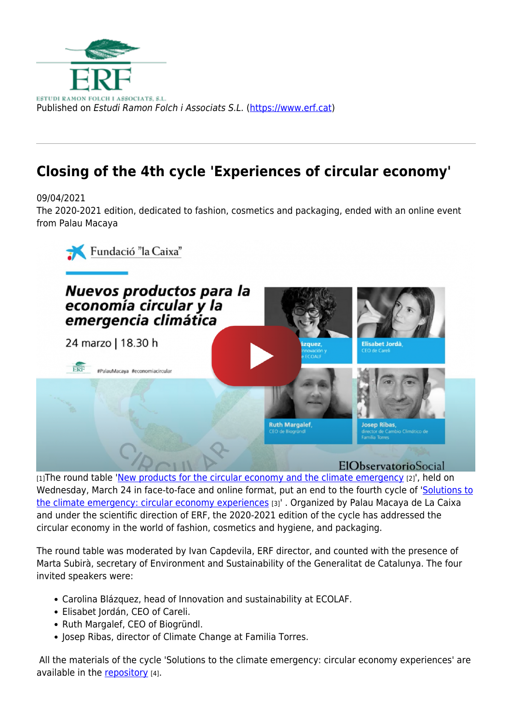

## **Closing of the 4th cycle 'Experiences of circular economy'**

09/04/2021

The 2020-2021 edition, dedicated to fashion, cosmetics and packaging, ended with an online event from Palau Macaya



[1] The round table '[New products for the circular economy and the climate emergency](https://www.youtube.com/watch?v=mDwh2iVNjkk) [2]', held on Wednesday, March 24 in face-to-face and online format, put an end to the fourth cycle of '[Solutions to](https://www.erf.cat/en/projects/solutions-cope-climate-emergency-circular-economy-experiences) [the climate emergency: circular economy experiences](https://www.erf.cat/en/projects/solutions-cope-climate-emergency-circular-economy-experiences) [3]' . Organized by Palau Macaya de La Caixa and under the scientific direction of ERF, the 2020-2021 edition of the cycle has addressed the circular economy in the world of fashion, cosmetics and hygiene, and packaging.

The round table was moderated by Ivan Capdevila, ERF director, and counted with the presence of Marta Subirà, secretary of Environment and Sustainability of the Generalitat de Catalunya. The four invited speakers were:

- Carolina Blázquez, head of Innovation and sustainability at ECOLAF.
- Elisabet Jordán, CEO of Careli.
- Ruth Margalef, CEO of Biogründl.
- Josep Ribas, director of Climate Change at Familia Torres.

 All the materials of the cycle 'Solutions to the climate emergency: circular economy experiences' are available in the [repository](https://palaumacaya.org/es/p/cicle-economia-circular_c12577640) [4].